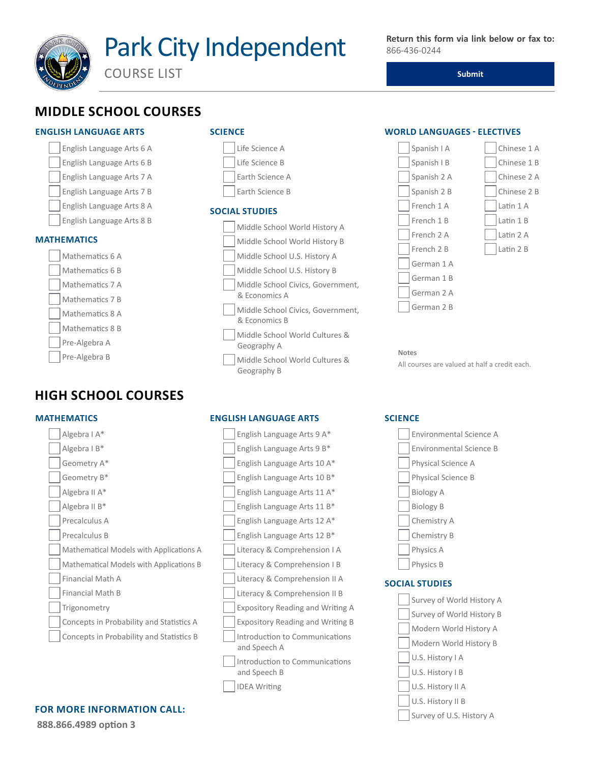

COURSE LIST

**Submit**

## **MIDDLE SCHOOL COURSES**

#### **ENGLISH LANGUAGE ARTS**





# **HIGH SCHOOL COURSES**

#### **MATHEMATICS**



### **FOR MORE INFORMATION CALL:**<br>
Survey of U.S. History A

**888.866.4989 option 3**

#### **SCIENCE**



 Middle School World Cultures & Geography B

#### **ENGLISH LANGUAGE ARTS**



#### **WORLD LANGUAGES - ELECTIVES**



**Notes** All courses are valued at half a credit each.

#### **SCIENCE**



#### **SOCIAL STUDIES**